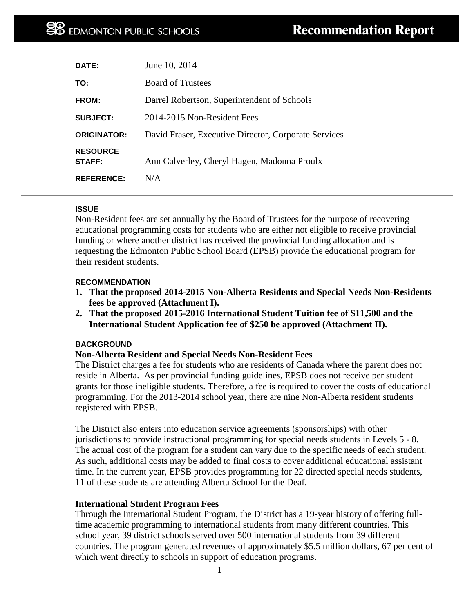| DATE:                            | June 10, 2014                                        |
|----------------------------------|------------------------------------------------------|
| TO:                              | <b>Board of Trustees</b>                             |
| <b>FROM:</b>                     | Darrel Robertson, Superintendent of Schools          |
| <b>SUBJECT:</b>                  | 2014-2015 Non-Resident Fees                          |
| <b>ORIGINATOR:</b>               | David Fraser, Executive Director, Corporate Services |
| <b>RESOURCE</b><br><b>STAFF:</b> | Ann Calverley, Cheryl Hagen, Madonna Proulx          |
| <b>REFERENCE:</b>                | N/A                                                  |

#### **ISSUE**

Non-Resident fees are set annually by the Board of Trustees for the purpose of recovering educational programming costs for students who are either not eligible to receive provincial funding or where another district has received the provincial funding allocation and is requesting the Edmonton Public School Board (EPSB) provide the educational program for their resident students.

#### **RECOMMENDATION**

- **1. That the proposed 2014-2015 Non-Alberta Residents and Special Needs Non-Residents fees be approved (Attachment I).**
- **2. That the proposed 2015-2016 International Student Tuition fee of \$11,500 and the International Student Application fee of \$250 be approved (Attachment II).**

### **BACKGROUND**

### **Non-Alberta Resident and Special Needs Non-Resident Fees**

The District charges a fee for students who are residents of Canada where the parent does not reside in Alberta. As per provincial funding guidelines, EPSB does not receive per student grants for those ineligible students. Therefore, a fee is required to cover the costs of educational programming. For the 2013-2014 school year, there are nine Non-Alberta resident students registered with EPSB.

The District also enters into education service agreements (sponsorships) with other jurisdictions to provide instructional programming for special needs students in Levels 5 - 8. The actual cost of the program for a student can vary due to the specific needs of each student. As such, additional costs may be added to final costs to cover additional educational assistant time. In the current year, EPSB provides programming for 22 directed special needs students, 11 of these students are attending Alberta School for the Deaf.

#### **International Student Program Fees**

Through the International Student Program, the District has a 19-year history of offering fulltime academic programming to international students from many different countries. This school year, 39 district schools served over 500 international students from 39 different countries. The program generated revenues of approximately \$5.5 million dollars, 67 per cent of which went directly to schools in support of education programs.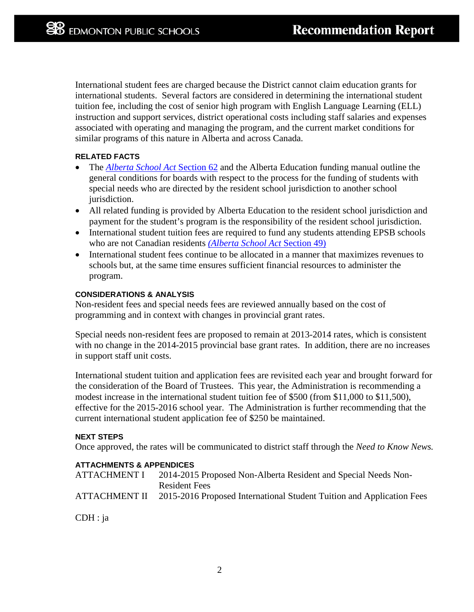International student fees are charged because the District cannot claim education grants for international students. Several factors are considered in determining the international student tuition fee, including the cost of senior high program with English Language Learning (ELL) instruction and support services, district operational costs including staff salaries and expenses associated with operating and managing the program, and the current market conditions for similar programs of this nature in Alberta and across Canada.

#### **RELATED FACTS**

- The *[Alberta School Act](http://www.qp.alberta.ca/documents/acts/s03.pdf)* Section 62 and the Alberta Education funding manual outline the general conditions for boards with respect to the process for the funding of students with special needs who are directed by the resident school jurisdiction to another school jurisdiction.
- All related funding is provided by Alberta Education to the resident school jurisdiction and payment for the student's program is the responsibility of the resident school jurisdiction.
- International student tuition fees are required to fund any students attending EPSB schools who are not Canadian residents *[\(Alberta School Act](http://www.qp.alberta.ca/documents/acts/s03.pdf)* Section 49)
- International student fees continue to be allocated in a manner that maximizes revenues to schools but, at the same time ensures sufficient financial resources to administer the program.

#### **CONSIDERATIONS & ANALYSIS**

Non-resident fees and special needs fees are reviewed annually based on the cost of programming and in context with changes in provincial grant rates.

Special needs non-resident fees are proposed to remain at 2013-2014 rates, which is consistent with no change in the 2014-2015 provincial base grant rates. In addition, there are no increases in support staff unit costs.

International student tuition and application fees are revisited each year and brought forward for the consideration of the Board of Trustees. This year, the Administration is recommending a modest increase in the international student tuition fee of \$500 (from \$11,000 to \$11,500), effective for the 2015-2016 school year. The Administration is further recommending that the current international student application fee of \$250 be maintained.

#### **NEXT STEPS**

Once approved, the rates will be communicated to district staff through the *Need to Know News.*

### **ATTACHMENTS & APPENDICES**

| <b>ATTACHMENT I</b> | 2014-2015 Proposed Non-Alberta Resident and Special Needs Non-        |
|---------------------|-----------------------------------------------------------------------|
|                     | Resident Fees                                                         |
| ATTACHMENT II       | 2015-2016 Proposed International Student Tuition and Application Fees |

CDH : ja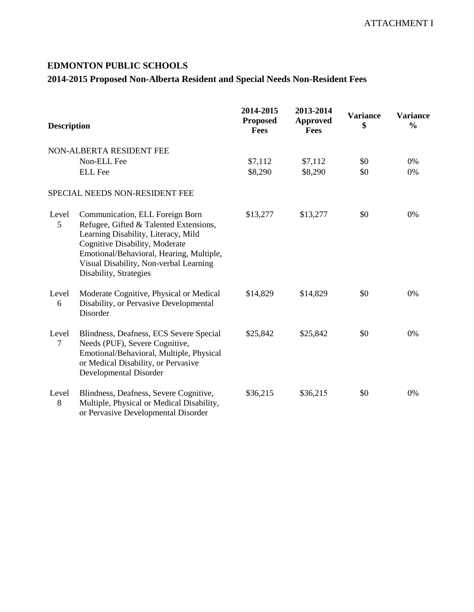# **EDMONTON PUBLIC SCHOOLS**

# **2014-2015 Proposed Non-Alberta Resident and Special Needs Non-Resident Fees**

| <b>Description</b>      |                                                                                                                                                                                                                                                                    | 2014-2015<br><b>Proposed</b><br>Fees | 2013-2014<br><b>Approved</b><br>Fees | <b>Variance</b><br>\$ | <b>Variance</b><br>$\frac{0}{0}$ |
|-------------------------|--------------------------------------------------------------------------------------------------------------------------------------------------------------------------------------------------------------------------------------------------------------------|--------------------------------------|--------------------------------------|-----------------------|----------------------------------|
|                         | NON-ALBERTA RESIDENT FEE                                                                                                                                                                                                                                           |                                      |                                      |                       |                                  |
|                         | Non-ELL Fee                                                                                                                                                                                                                                                        | \$7,112                              | \$7,112                              | \$0                   | 0%                               |
|                         | <b>ELL</b> Fee                                                                                                                                                                                                                                                     | \$8,290                              | \$8,290                              | \$0                   | 0%                               |
|                         | SPECIAL NEEDS NON-RESIDENT FEE                                                                                                                                                                                                                                     |                                      |                                      |                       |                                  |
| Level<br>5              | Communication, ELL Foreign Born<br>Refugee, Gifted & Talented Extensions,<br>Learning Disability, Literacy, Mild<br>Cognitive Disability, Moderate<br>Emotional/Behavioral, Hearing, Multiple,<br>Visual Disability, Non-verbal Learning<br>Disability, Strategies | \$13,277                             | \$13,277                             | \$0                   | 0%                               |
| Level<br>6              | Moderate Cognitive, Physical or Medical<br>Disability, or Pervasive Developmental<br>Disorder                                                                                                                                                                      | \$14,829                             | \$14,829                             | \$0                   | 0%                               |
| Level<br>$\overline{7}$ | Blindness, Deafness, ECS Severe Special<br>Needs (PUF), Severe Cognitive,<br>Emotional/Behavioral, Multiple, Physical<br>or Medical Disability, or Pervasive<br>Developmental Disorder                                                                             | \$25,842                             | \$25,842                             | \$0                   | 0%                               |
| Level<br>8              | Blindness, Deafness, Severe Cognitive,<br>Multiple, Physical or Medical Disability,<br>$\mathbb{R}$ 1 1 $\mathbb{R}$ 1                                                                                                                                             | \$36,215                             | \$36,215                             | \$0                   | 0%                               |

or Pervasive Developmental Disorder